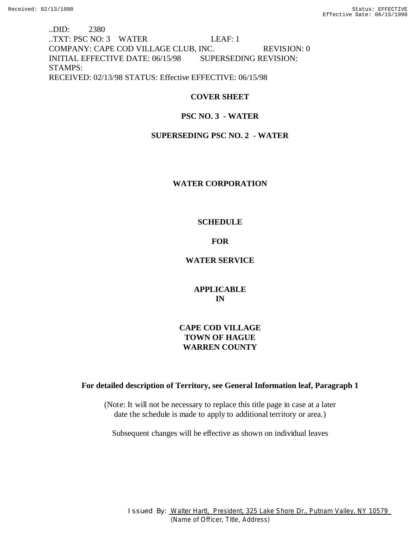..DID: 2380 ..TXT: PSC NO: 3 WATER LEAF: 1 COMPANY: CAPE COD VILLAGE CLUB, INC. REVISION: 0 INITIAL EFFECTIVE DATE: 06/15/98 SUPERSEDING REVISION: STAMPS: RECEIVED: 02/13/98 STATUS: Effective EFFECTIVE: 06/15/98

# **COVER SHEET**

# **PSC NO. 3 - WATER**

# **SUPERSEDING PSC NO. 2 - WATER**

### **WATER CORPORATION**

### **SCHEDULE**

# **FOR**

# **WATER SERVICE**

**APPLICABLE IN**

# **CAPE COD VILLAGE TOWN OF HAGUE WARREN COUNTY**

# **For detailed description of Territory, see General Information leaf, Paragraph 1**

(Note: It will not be necessary to replace this title page in case at a later date the schedule is made to apply to additional territory or area.)

Subsequent changes will be effective as shown on individual leaves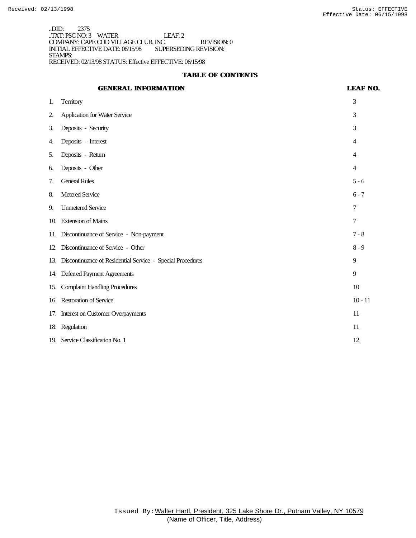..DID: 2375 ..TXT: PSC NO: 3 WATER LEAF: 2 COMPANY: CAPE COD VILLAGE CLUB, INC. REVISION: 0 INITIAL EFFECTIVE DATE: 06/15/98 SUPERSEDING REVISION: STAMPS: RECEIVED: 02/13/98 STATUS: Effective EFFECTIVE: 06/15/98

### **TABLE OF CONTENTS**

# **GENERAL INFORMATION LEAF NO.**

| 1.  | <b>Territory</b>                                               | 3              |
|-----|----------------------------------------------------------------|----------------|
| 2.  | <b>Application for Water Service</b>                           | 3              |
| 3.  | Deposits - Security                                            | 3              |
| 4.  | Deposits - Interest                                            | 4              |
| 5.  | Deposits - Return                                              | $\overline{4}$ |
| 6.  | Deposits - Other                                               | $\overline{4}$ |
| 7.  | <b>General Rules</b>                                           | $5 - 6$        |
| 8.  | <b>Metered Service</b>                                         | $6 - 7$        |
| 9.  | <b>Unmetered Service</b>                                       | 7              |
|     | 10. Extension of Mains                                         | 7              |
|     | 11. Discontinuance of Service - Non-payment                    | $7 - 8$        |
|     | 12. Discontinuance of Service - Other                          | $8 - 9$        |
|     | 13. Discontinuance of Residential Service - Special Procedures | 9              |
|     | 14. Deferred Payment Agreements                                | 9              |
| 15. | <b>Complaint Handling Procedures</b>                           | 10             |
|     | 16. Restoration of Service                                     | $10 - 11$      |
|     | 17. Interest on Customer Overpayments                          | 11             |
|     | 18. Regulation                                                 | 11             |
|     | 19. Service Classification No. 1                               | 12             |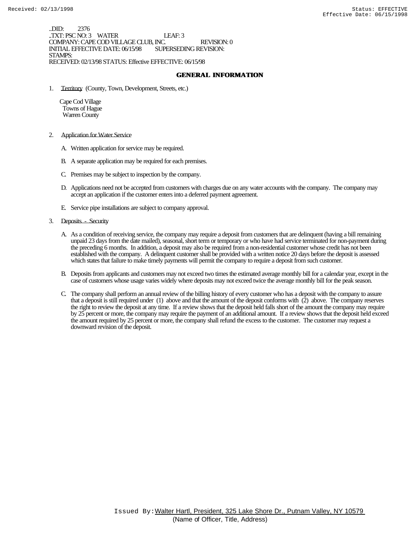..DID: 2376 ..TXT: PSC NO: 3 WATER LEAF: 3 COMPANY: CAPE COD VILLAGE CLUB, INC. REVISION: 0 INITIAL EFFECTIVE DATE: 06/15/98 STAMPS: RECEIVED: 02/13/98 STATUS: Effective EFFECTIVE: 06/15/98

### **GENERAL INFORMATION**

1. Territory (County, Town, Development, Streets, etc.)

 Cape Cod Village Towns of Hague Warren County

- 2. Application for Water Service
	- A. Written application for service may be required.
	- B. A separate application may be required for each premises.
	- C. Premises may be subject to inspection by the company.
	- D. Applications need not be accepted from customers with charges due on any water accounts with the company. The company may accept an application if the customer enters into a deferred payment agreement.
	- E. Service pipe installations are subject to company approval.
- 3. Deposits Security
	- A. As a condition of receiving service, the company may require a deposit from customers that are delinquent (having a bill remaining unpaid 23 days from the date mailed), seasonal, short term or temporary or who have had service terminated for non-payment during the preceding 6 months. In addition, a deposit may also be required from a non-residential customer whose credit has not been established with the company. A delinquent customer shall be provided with a written notice 20 days before the deposit is assessed which states that failure to make timely payments will permit the company to require a deposit from such customer.
	- B. Deposits from applicants and customers may not exceed two times the estimated average monthly bill for a calendar year, except in the case of customers whose usage varies widely where deposits may not exceed twice the average monthly bill for the peak season.
	- C. The company shall perform an annual review of the billing history of every customer who has a deposit with the company to assure that a deposit is still required under (1) above and that the amount of the deposit conforms with (2) above. The company reserves the right to review the deposit at any time. If a review shows that the deposit held falls short of the amount the company may require by 25 percent or more, the company may require the payment of an additional amount. If a review shows that the deposit held exceed the amount required by 25 percent or more, the company shall refund the excess to the customer. The customer may request a downward revision of the deposit.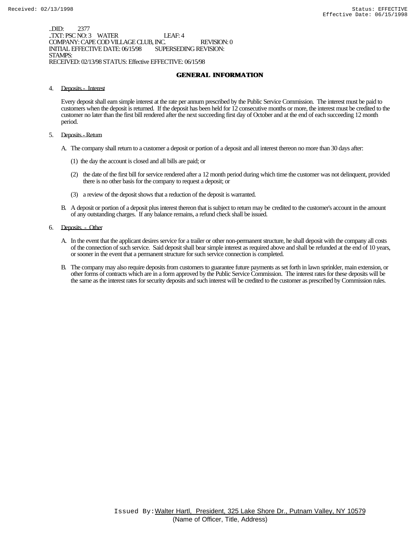..DID: 2377 ..TXT: PSC NO: 3 WATER LEAF: 4 COMPANY: CAPE COD VILLAGE CLUB, INC. REVISION: 0 INITIAL EFFECTIVE DATE: 06/15/98 STAMPS: RECEIVED: 02/13/98 STATUS: Effective EFFECTIVE: 06/15/98

### **GENERAL INFORMATION**

4. Deposits - Interest

Every deposit shall earn simple interest at the rate per annum prescribed by the Public Service Commission. The interest must be paid to customers when the deposit is returned. If the deposit has been held for 12 consecutive months or more, the interest must be credited to the customer no later than the first bill rendered after the next succeeding first day of October and at the end of each succeeding 12 month period.

- 5. Deposits Return
	- A. The company shall return to a customer a deposit or portion of a deposit and all interest thereon no more than 30 days after:
		- (1) the day the account is closed and all bills are paid; or
		- (2) the date of the first bill for service rendered after a 12 month period during which time the customer was not delinquent, provided there is no other basis for the company to request a deposit; or
		- (3) a review of the deposit shows that a reduction of the deposit is warranted.
	- B. A deposit or portion of a deposit plus interest thereon that is subject to return may be credited to the customer's account in the amount of any outstanding charges. If any balance remains, a refund check shall be issued.
- 6. Deposits Other
	- A. In the event that the applicant desires service for a trailer or other non-permanent structure, he shall deposit with the company all costs of the connection of such service. Said deposit shall bear simple interest as required above and shall be refunded at the end of 10 years, or sooner in the event that a permanent structure for such service connection is completed.
	- B. The company may also require deposits from customers to guarantee future payments as set forth in lawn sprinkler, main extension, or other forms of contracts which are in a form approved by the Public Service Commission. The interest rates for these deposits will be the same as the interest rates for security deposits and such interest will be credited to the customer as prescribed by Commission rules.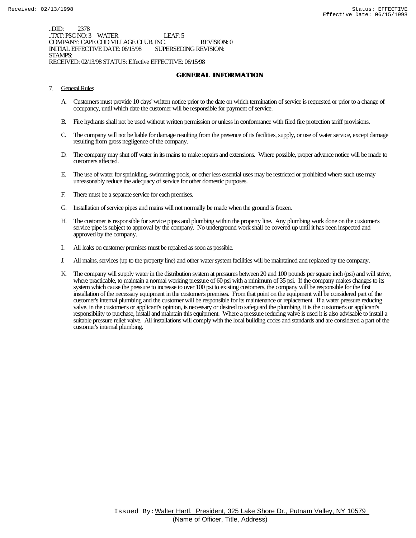..DID: 2378 ..TXT: PSC NO: 3 WATER LEAF: 5 COMPANY: CAPE COD VILLAGE CLUB, INC. REVISION: 0 INITIAL EFFECTIVE DATE: 06/15/98 STAMPS: RECEIVED: 02/13/98 STATUS: Effective EFFECTIVE: 06/15/98

### **GENERAL INFORMATION**

- 7. General Rules
	- A. Customers must provide 10 days' written notice prior to the date on which termination of service is requested or prior to a change of occupancy, until which date the customer will be responsible for payment of service.
	- B. Fire hydrants shall not be used without written permission or unless in conformance with filed fire protection tariff provisions.
	- C. The company will not be liable for damage resulting from the presence of its facilities, supply, or use of water service, except damage resulting from gross negligence of the company.
	- D. The company may shut off water in its mains to make repairs and extensions. Where possible, proper advance notice will be made to customers affected.
	- E. The use of water for sprinkling, swimming pools, or other less essential uses may be restricted or prohibited where such use may unreasonably reduce the adequacy of service for other domestic purposes.
	- F. There must be a separate service for each premises.
	- G. Installation of service pipes and mains will not normally be made when the ground is frozen.
	- H. The customer is responsible for service pipes and plumbing within the property line. Any plumbing work done on the customer's service pipe is subject to approval by the company. No underground work shall be covered up until it has been inspected and approved by the company.
	- I. All leaks on customer premises must be repaired as soon as possible.
	- J. All mains, services (up to the property line) and other water system facilities will be maintained and replaced by the company.
	- K. The company will supply water in the distribution system at pressures between 20 and 100 pounds per square inch (psi) and will strive, where practicable, to maintain a normal working pressure of 60 psi with a minimum of 35 psi. If the company makes changes to its system which cause the pressure to increase to over 100 psi to existing customers, the company will be responsible for the first installation of the necessary equipment in the customer's premises. From that point on the equipment will be considered part of the customer's internal plumbing and the customer will be responsible for its maintenance or replacement. If a water pressure reducing valve, in the customer's or applicant's opinion, is necessary or desired to safeguard the plumbing, it is the customer's or applicant's responsibility to purchase, install and maintain this equipment. Where a pressure reducing valve is used it is also advisable to install a suitable pressure relief valve. All installations will comply with the local building codes and standards and are considered a part of the customer's internal plumbing.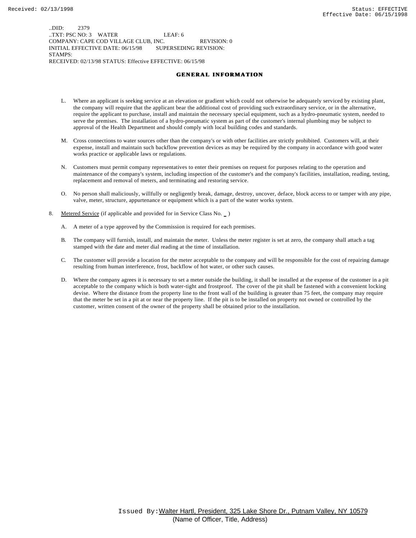..DID: 2379 ..TXT: PSC NO: 3 WATER LEAF: 6 COMPANY: CAPE COD VILLAGE CLUB, INC. REVISION: 0 INITIAL EFFECTIVE DATE: 06/15/98 SUPERSEDING REVISION: STAMPS: RECEIVED: 02/13/98 STATUS: Effective EFFECTIVE: 06/15/98

#### **GENERAL INFORMATION**

- L. Where an applicant is seeking service at an elevation or gradient which could not otherwise be adequately serviced by existing plant, the company will require that the applicant bear the additional cost of providing such extraordinary service, or in the alternative, require the applicant to purchase, install and maintain the necessary special equipment, such as a hydro-pneumatic system, needed to serve the premises. The installation of a hydro-pneumatic system as part of the customer's internal plumbing may be subject to approval of the Health Department and should comply with local building codes and standards.
- M. Cross connections to water sources other than the company's or with other facilities are strictly prohibited. Customers will, at their expense, install and maintain such backflow prevention devices as may be required by the company in accordance with good water works practice or applicable laws or regulations.
- N. Customers must permit company representatives to enter their premises on request for purposes relating to the operation and maintenance of the company's system, including inspection of the customer's and the company's facilities, installation, reading, testing, replacement and removal of meters, and terminating and restoring service.
- O. No person shall maliciously, willfully or negligently break, damage, destroy, uncover, deface, block access to or tamper with any pipe, valve, meter, structure, appurtenance or equipment which is a part of the water works system.
- 8. Metered Service (if applicable and provided for in Service Class No.  $\overline{\phantom{a}}$ )
	- A. A meter of a type approved by the Commission is required for each premises.
	- B. The company will furnish, install, and maintain the meter. Unless the meter register is set at zero, the company shall attach a tag stamped with the date and meter dial reading at the time of installation.
	- C. The customer will provide a location for the meter acceptable to the company and will be responsible for the cost of repairing damage resulting from human interference, frost, backflow of hot water, or other such causes.
	- D. Where the company agrees it is necessary to set a meter outside the building, it shall be installed at the expense of the customer in a pit acceptable to the company which is both water-tight and frostproof. The cover of the pit shall be fastened with a convenient locking devise. Where the distance from the property line to the front wall of the building is greater than 75 feet, the company may require that the meter be set in a pit at or near the property line. If the pit is to be installed on property not owned or controlled by the customer, written consent of the owner of the property shall be obtained prior to the installation.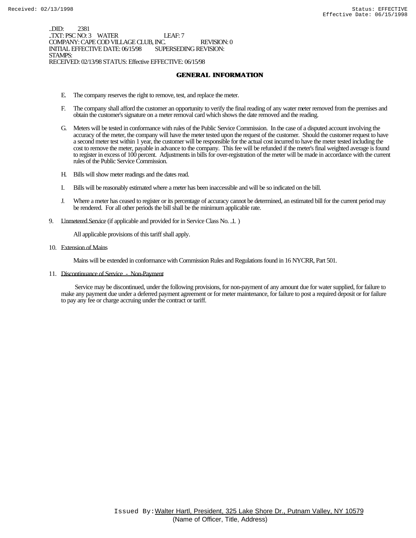..DID: 2381 ..TXT: PSC NO: 3 WATER LEAF: 7 COMPANY: CAPE COD VILLAGE CLUB, INC. REVISION: 0 INITIAL EFFECTIVE DATE: 06/15/98 STAMPS: RECEIVED: 02/13/98 STATUS: Effective EFFECTIVE: 06/15/98

### **GENERAL INFORMATION**

- E. The company reserves the right to remove, test, and replace the meter.
- F. The company shall afford the customer an opportunity to verify the final reading of any water meter removed from the premises and obtain the customer's signature on a meter removal card which shows the date removed and the reading.
- G. Meters will be tested in conformance with rules of the Public Service Commission. In the case of a disputed account involving the accuracy of the meter, the company will have the meter tested upon the request of the customer. Should the customer request to have a second meter test within 1 year, the customer will be responsible for the actual cost incurred to have the meter tested including the cost to remove the meter, payable in advance to the company. This fee will be refunded if the meter's final weighted average is found to register in excess of 100 percent. Adjustments in bills for over-registration of the meter will be made in accordance with the current rules of the Public Service Commission.
- H. Bills will show meter readings and the dates read.
- I. Bills will be reasonably estimated where a meter has been inaccessible and will be so indicated on the bill.
- J. Where a meter has ceased to register or its percentage of accuracy cannot be determined, an estimated bill for the current period may be rendered. For all other periods the bill shall be the minimum applicable rate.
- 9. L'Inmetered Service (if applicable and provided for in Service Class No. 1)

All applicable provisions of this tariff shall apply.

10. Extension of Mains

Mains will be extended in conformance with Commission Rules and Regulations found in 16 NYCRR, Part 501.

11. Discontinuance of Service - Non-Payment

 Service may be discontinued, under the following provisions, for non-payment of any amount due for water supplied, for failure to make any payment due under a deferred payment agreement or for meter maintenance, for failure to post a required deposit or for failure to pay any fee or charge accruing under the contract or tariff.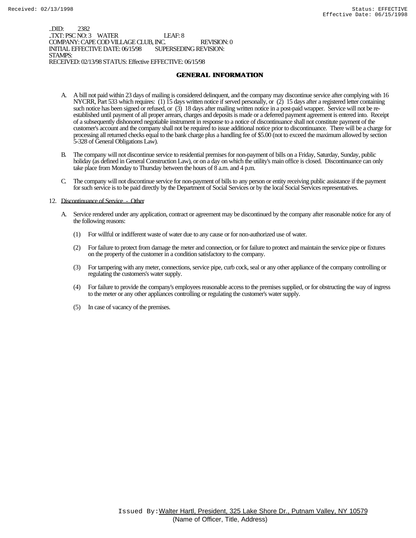..DID: 2382 ..TXT: PSC NO: 3 WATER LEAF: 8 COMPANY: CAPE COD VILLAGE CLUB, INC. REVISION: 0 INITIAL EFFECTIVE DATE: 06/15/98 STAMPS: RECEIVED: 02/13/98 STATUS: Effective EFFECTIVE: 06/15/98

### **GENERAL INFORMATION**

- A. A bill not paid within 23 days of mailing is considered delinquent, and the company may discontinue service after complying with 16 NYCRR, Part 533 which requires: (1) 15 days written notice if served personally, or (2) 15 days after a registered letter containing such notice has been signed or refused, or (3) 18 days after mailing written notice in a post-paid wrapper. Service will not be reestablished until payment of all proper arrears, charges and deposits is made or a deferred payment agreement is entered into. Receipt of a subsequently dishonored negotiable instrument in response to a notice of discontinuance shall not constitute payment of the customer's account and the company shall not be required to issue additional notice prior to discontinuance. There will be a charge for processing all returned checks equal to the bank charge plus a handling fee of \$5.00 (not to exceed the maximum allowed by section 5-328 of General Obligations Law).
- B. The company will not discontinue service to residential premises for non-payment of bills on a Friday, Saturday, Sunday, public holiday (as defined in General Construction Law), or on a day on which the utility's main office is closed. Discontinuance can only take place from Monday to Thursday between the hours of 8 a.m. and 4 p.m.
- C. The company will not discontinue service for non-payment of bills to any person or entity receiving public assistance if the payment for such service is to be paid directly by the Department of Social Services or by the local Social Services representatives.

#### 12. Discontinuance of Service - Other

- A. Service rendered under any application, contract or agreement may be discontinued by the company after reasonable notice for any of the following reasons:
	- (1) For willful or indifferent waste of water due to any cause or for non-authorized use of water.
	- (2) For failure to protect from damage the meter and connection, or for failure to protect and maintain the service pipe or fixtures on the property of the customer in a condition satisfactory to the company.
	- (3) For tampering with any meter, connections, service pipe, curb cock, seal or any other appliance of the company controlling or regulating the customers's water supply.
	- (4) For failure to provide the company's employees reasonable access to the premises supplied, or for obstructing the way of ingress to the meter or any other appliances controlling or regulating the customer's water supply.
	- (5) In case of vacancy of the premises.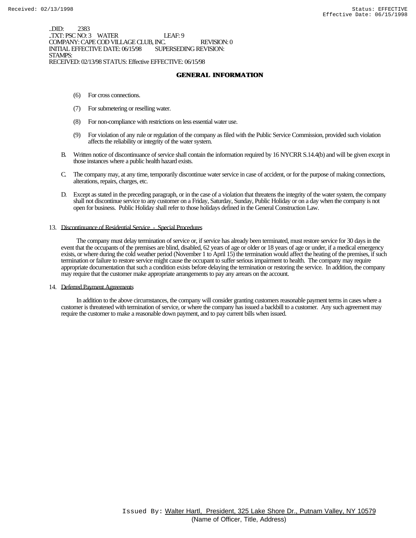..DID: 2383 .TXT: PSC NO: 3 WATER LEAF: 9 COMPANY: CAPE COD VILLAGE CLUB, INC. REVISION: 0 INITIAL EFFECTIVE DATE: 06/15/98 STAMPS: RECEIVED: 02/13/98 STATUS: Effective EFFECTIVE: 06/15/98

**GENERAL INFORMATION**

- (6) For cross connections.
- (7) For submetering or reselling water.
- (8) For non-compliance with restrictions on less essential water use.
- (9) For violation of any rule or regulation of the company as filed with the Public Service Commission, provided such violation affects the reliability or integrity of the water system.
- B. Written notice of discontinuance of service shall contain the information required by 16 NYCRR S.14.4(b) and will be given except in those instances where a public health hazard exists.
- C. The company may, at any time, temporarily discontinue water service in case of accident, or for the purpose of making connections, alterations, repairs, charges, etc.
- D. Except as stated in the preceding paragraph, or in the case of a violation that threatens the integrity of the water system, the company shall not discontinue service to any customer on a Friday, Saturday, Sunday, Public Holiday or on a day when the company is not open for business. Public Holiday shall refer to those holidays defined in the General Construction Law.

#### 13. Discontinuance of Residential Service - Special Procedures

 The company must delay termination of service or, if service has already been terminated, must restore service for 30 days in the event that the occupants of the premises are blind, disabled, 62 years of age or older or 18 years of age or under, if a medical emergency exists, or where during the cold weather period (November 1 to April 15) the termination would affect the heating of the premises, if such termination or failure to restore service might cause the occupant to suffer serious impairment to health. The company may require appropriate documentation that such a condition exists before delaying the termination or restoring the service. In addition, the company may require that the customer make appropriate arrangements to pay any arrears on the account.

14. Deferred Payment Agreements

 In addition to the above circumstances, the company will consider granting customers reasonable payment terms in cases where a customer is threatened with termination of service, or where the company has issued a backbill to a customer. Any such agreement may require the customer to make a reasonable down payment, and to pay current bills when issued.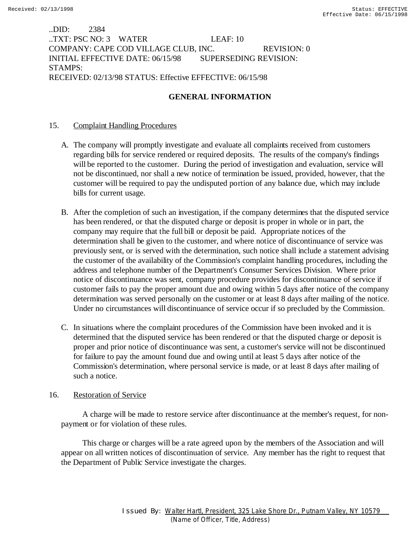..DID: 2384 ..TXT: PSC NO: 3 WATER LEAF: 10 COMPANY: CAPE COD VILLAGE CLUB, INC. REVISION: 0 INITIAL EFFECTIVE DATE: 06/15/98 SUPERSEDING REVISION: STAMPS: RECEIVED: 02/13/98 STATUS: Effective EFFECTIVE: 06/15/98

### **GENERAL INFORMATION**

### 15. Complaint Handling Procedures

- A. The company will promptly investigate and evaluate all complaints received from customers regarding bills for service rendered or required deposits. The results of the company's findings will be reported to the customer. During the period of investigation and evaluation, service will not be discontinued, nor shall a new notice of termination be issued, provided, however, that the customer will be required to pay the undisputed portion of any balance due, which may include bills for current usage.
- B. After the completion of such an investigation, if the company determines that the disputed service has been rendered, or that the disputed charge or deposit is proper in whole or in part, the company may require that the full bill or deposit be paid. Appropriate notices of the determination shall be given to the customer, and where notice of discontinuance of service was previously sent, or is served with the determination, such notice shall include a statement advising the customer of the availability of the Commission's complaint handling procedures, including the address and telephone number of the Department's Consumer Services Division. Where prior notice of discontinuance was sent, company procedure provides for discontinuance of service if customer fails to pay the proper amount due and owing within 5 days after notice of the company determination was served personally on the customer or at least 8 days after mailing of the notice. Under no circumstances will discontinuance of service occur if so precluded by the Commission.
- C. In situations where the complaint procedures of the Commission have been invoked and it is determined that the disputed service has been rendered or that the disputed charge or deposit is proper and prior notice of discontinuance was sent, a customer's service will not be discontinued for failure to pay the amount found due and owing until at least 5 days after notice of the Commission's determination, where personal service is made, or at least 8 days after mailing of such a notice.

### 16. Restoration of Service

 A charge will be made to restore service after discontinuance at the member's request, for nonpayment or for violation of these rules.

 This charge or charges will be a rate agreed upon by the members of the Association and will appear on all written notices of discontinuation of service. Any member has the right to request that the Department of Public Service investigate the charges.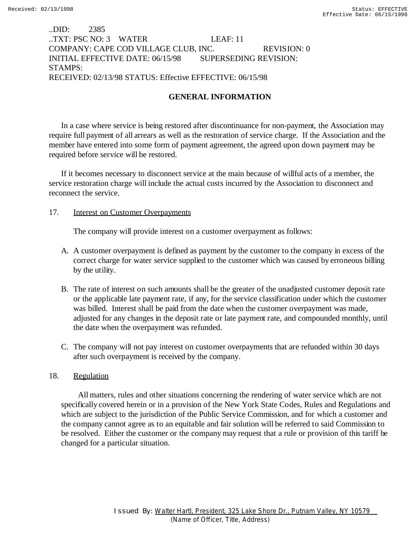### ..DID: 2385 ..TXT: PSC NO: 3 WATER LEAF: 11 COMPANY: CAPE COD VILLAGE CLUB, INC. REVISION: 0 INITIAL EFFECTIVE DATE: 06/15/98 SUPERSEDING REVISION: STAMPS: RECEIVED: 02/13/98 STATUS: Effective EFFECTIVE: 06/15/98

# **GENERAL INFORMATION**

In a case where service is being restored after discontinuance for non-payment, the Association may require full payment of all arrears as well as the restoration of service charge. If the Association and the member have entered into some form of payment agreement, the agreed upon down payment may be required before service will be restored.

If it becomes necessary to disconnect service at the main because of willful acts of a member, the service restoration charge will include the actual costs incurred by the Association to disconnect and reconnect the service.

### 17. **Interest on Customer Overpayments**

The company will provide interest on a customer overpayment as follows:

- A. A customer overpayment is defined as payment by the customer to the company in excess of the correct charge for water service supplied to the customer which was caused by erroneous billing by the utility.
- B. The rate of interest on such amounts shall be the greater of the unadjusted customer deposit rate or the applicable late payment rate, if any, for the service classification under which the customer was billed. Interest shall be paid from the date when the customer overpayment was made, adjusted for any changes in the deposit rate or late payment rate, and compounded monthly, until the date when the overpayment was refunded.
- C. The company will not pay interest on customer overpayments that are refunded within 30 days after such overpayment is received by the company.

### 18. Regulation

 All matters, rules and other situations concerning the rendering of water service which are not specifically covered herein or in a provision of the New York State Codes, Rules and Regulations and which are subject to the jurisdiction of the Public Service Commission, and for which a customer and the company cannot agree as to an equitable and fair solution will be referred to said Commission to be resolved. Either the customer or the company may request that a rule or provision of this tariff be changed for a particular situation.